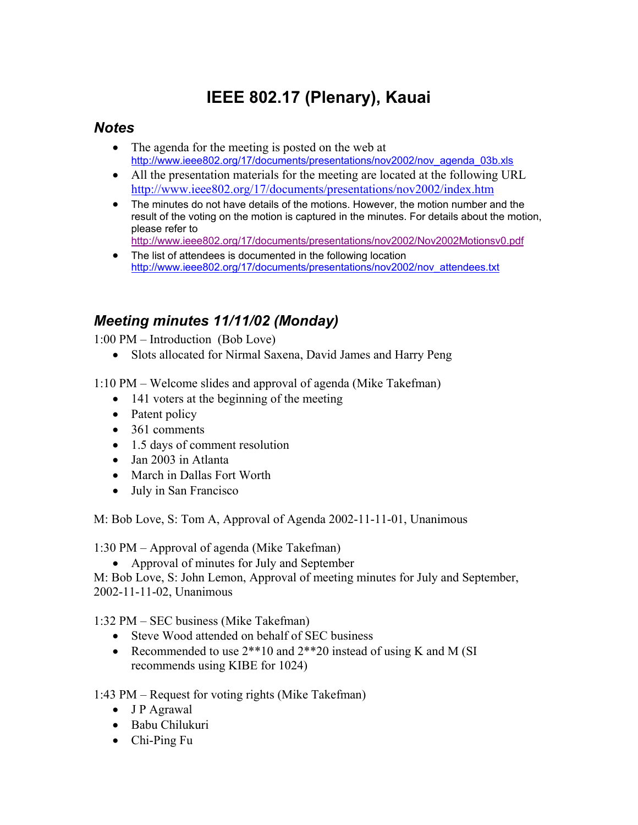# **IEEE 802.17 (Plenary), Kauai**

### *Notes*

- The agenda for the meeting is posted on the web at http://www.ieee802.org/17/documents/presentations/nov2002/nov\_agenda\_03b.xls
- All the presentation materials for the meeting are located at the following URL http://www.ieee802.org/17/documents/presentations/nov2002/index.htm
- The minutes do not have details of the motions. However, the motion number and the result of the voting on the motion is captured in the minutes. For details about the motion, please refer to
	- http://www.ieee802.org/17/documents/presentations/nov2002/Nov2002Motionsv0.pdf
- The list of attendees is documented in the following location http://www.ieee802.org/17/documents/presentations/nov2002/nov\_attendees.txt

## *Meeting minutes 11/11/02 (Monday)*

 $1:00 \text{ PM}$  – Introduction (Bob Love)

• Slots allocated for Nirmal Saxena, David James and Harry Peng

1:10 PM – Welcome slides and approval of agenda (Mike Takefman)

- 141 voters at the beginning of the meeting
- Patent policy
- 361 comments
- 1.5 days of comment resolution
- Jan 2003 in Atlanta
- March in Dallas Fort Worth
- July in San Francisco

M: Bob Love, S: Tom A, Approval of Agenda 2002-11-11-01, Unanimous

1:30 PM  $-$  Approval of agenda (Mike Takefman)

• Approval of minutes for July and September

M: Bob Love, S: John Lemon, Approval of meeting minutes for July and September, 2002-11-11-02, Unanimous

1:32 PM – SEC business (Mike Takefman)

- Steve Wood attended on behalf of SEC business
- Recommended to use  $2^{**}10$  and  $2^{**}20$  instead of using K and M (SI) recommends using KIBE for 1024)

1:43 PM – Request for voting rights (Mike Takefman)

- J P Agrawal
- Babu Chilukuri
- Chi-Ping Fu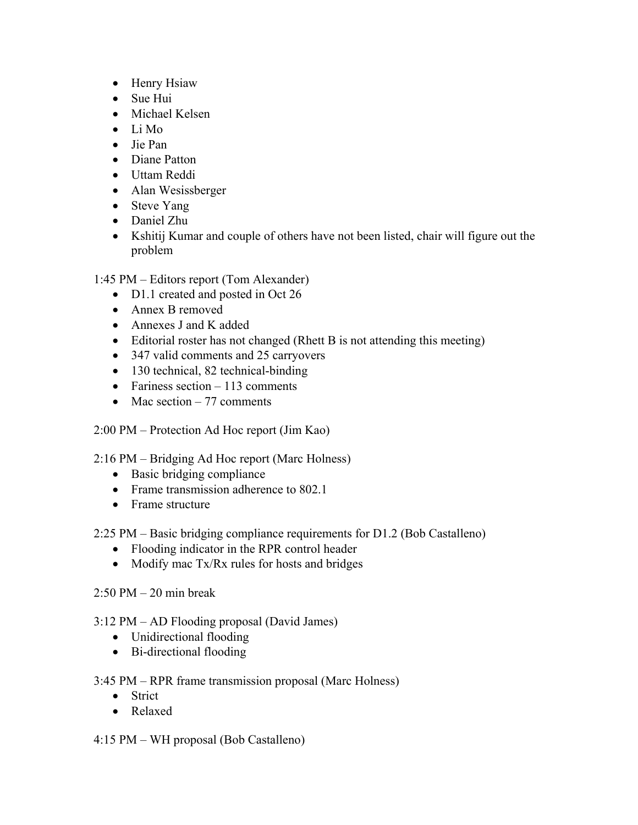- Henry Hsiaw
- Sue Hui
- Michael Kelsen
- Li Mo
- Jie Pan
- Diane Patton
- Uttam Reddi
- Alan Wesissberger
- Steve Yang
- Daniel Zhu
- Kshitij Kumar and couple of others have not been listed, chair will figure out the problem

1:45 PM – Editors report (Tom Alexander)

- D1.1 created and posted in Oct 26
- Annex B removed
- Annexes J and K added
- Editorial roster has not changed (Rhett B is not attending this meeting)
- 347 valid comments and 25 carryovers
- 130 technical, 82 technical-binding
- Fariness section  $-113$  comments
- Mac section  $-77$  comments
- 2:00 PM Protection Ad Hoc report (Jim Kao)
- $2:16 \text{ PM} \text{Bridging}$  Ad Hoc report (Marc Holness)
	- Basic bridging compliance
	- Frame transmission adherence to 802.1
	- Frame structure
- $2:25 \text{ PM} \text{Basic bridging compliance requirements for D1.2 (Bob Castalleno)}$ 
	- Flooding indicator in the RPR control header
	- Modify mac Tx/Rx rules for hosts and bridges
- $2:50 \text{ PM} 20 \text{ min break}$
- $3:12 \text{ PM} \text{AD}$  Flooding proposal (David James)
	- Unidirectional flooding
	- Bi-directional flooding

#### 3:45 PM – RPR frame transmission proposal (Marc Holness)

- Strict
- Relaxed

#### $4:15$  PM – WH proposal (Bob Castalleno)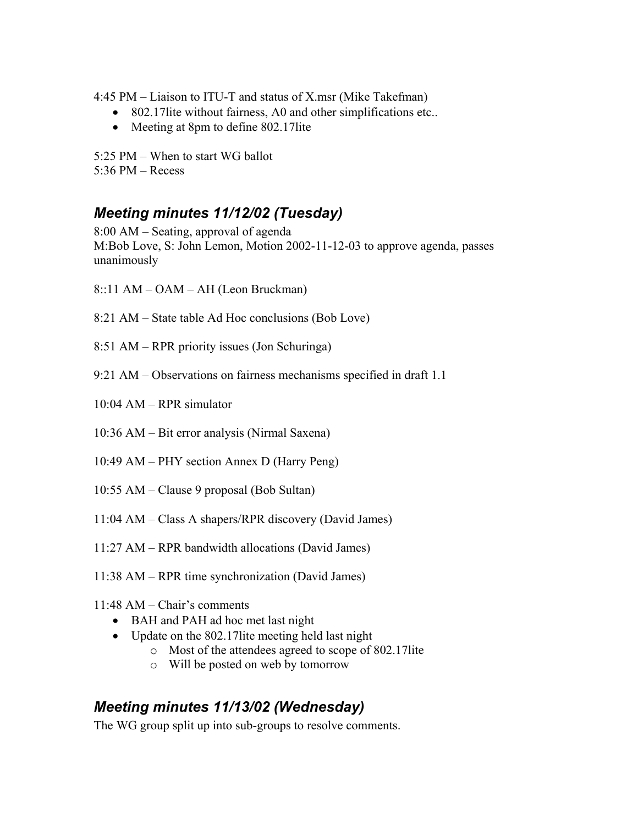4:45 PM  $-$  Liaison to ITU-T and status of X.msr (Mike Takefman)

- 802.17 lite without fairness, A0 and other simplifications etc..
- Meeting at 8pm to define 802.17 lite

5:25 PM  $-$  When to start WG ballot  $5:36$  PM  $-$  Recess

## *Meeting minutes 11/12/02 (Tuesday)*

 $8:00$  AM – Seating, approval of agenda M:Bob Love, S: John Lemon, Motion 2002-11-12-03 to approve agenda, passes unanimously

- $8::11$  AM  $-$  OAM  $-$  AH (Leon Bruckman)
- 8:21 AM State table Ad Hoc conclusions (Bob Love)
- 8:51 AM RPR priority issues (Jon Schuringa)
- 9:21 AM  $-$  Observations on fairness mechanisms specified in draft 1.1
- $10:04$  AM RPR simulator
- 10:36 AM Bit error analysis (Nirmal Saxena)
- 10:49 AM PHY section Annex D (Harry Peng)
- $10:55$  AM Clause 9 proposal (Bob Sultan)
- $11:04$  AM Class A shapers/RPR discovery (David James)
- $11:27$  AM RPR bandwidth allocations (David James)
- $11:38$  AM RPR time synchronization (David James)
- $11:48$  AM Chair's comments
	- BAH and PAH ad hoc met last night
	- Update on the 802.17lite meeting held last night
		- o Most of the attendees agreed to scope of 802.17lite
		- o Will be posted on web by tomorrow

## *Meeting minutes 11/13/02 (Wednesday)*

The WG group split up into sub-groups to resolve comments.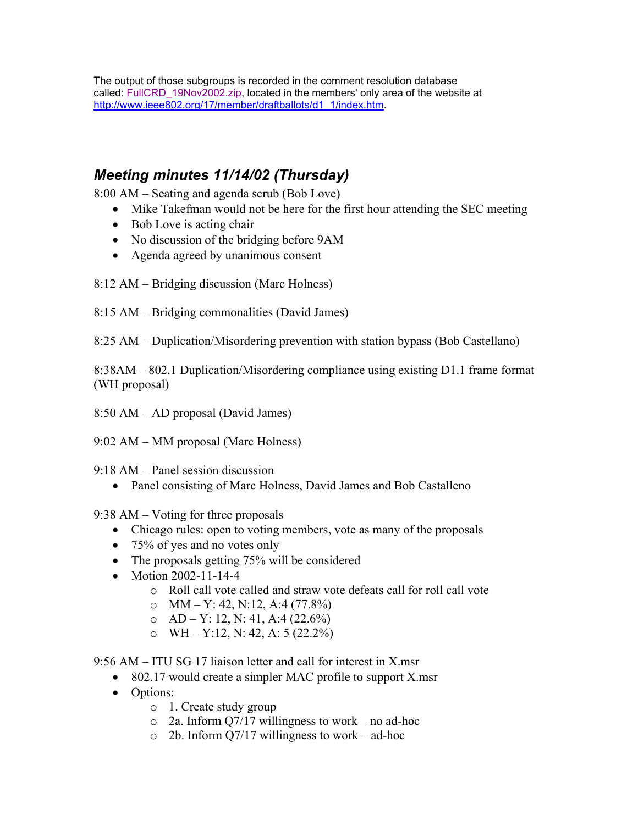The output of those subgroups is recorded in the comment resolution database called: FullCRD\_19Nov2002.zip, located in the members' only area of the website at http://www.ieee802.org/17/member/draftballots/d1\_1/index.htm.

## *Meeting minutes 11/14/02 (Thursday)*

 $8:00$  AM – Seating and agenda scrub (Bob Love)

- Mike Takefman would not be here for the first hour attending the SEC meeting
- Bob Love is acting chair
- No discussion of the bridging before  $9AM$
- Agenda agreed by unanimous consent
- $8:12$  AM Bridging discussion (Marc Holness)
- $8:15$  AM Bridging commonalities (David James)

8:25 AM – Duplication/Misordering prevention with station bypass (Bob Castellano)

8:38AM – 802.1 Duplication/Misordering compliance using existing D1.1 frame format (WH proposal)

 $8:50$  AM  $-$  AD proposal (David James)

 $9:02$  AM – MM proposal (Marc Holness)

- $9:18$  AM Panel session discussion
	- Panel consisting of Marc Holness, David James and Bob Castalleno

9:38 AM  $-$  Voting for three proposals

- Chicago rules: open to voting members, vote as many of the proposals
- 75% of yes and no votes only
- The proposals getting 75% will be considered
- Motion 2002-11-14-4
	- o Roll call vote called and straw vote defeats call for roll call vote
	- o  $MM Y: 42, N: 12, A: 4 (77.8%)$
	- o  $AD Y$ : 12, N: 41, A:4 (22.6%)
	- o WH Y:12, N: 42, A: 5 (22.2%)

9:56 AM  $-$  ITU SG 17 liaison letter and call for interest in X.msr

- 802.17 would create a simpler MAC profile to support X.msr
- Options:
	- o 1. Create study group
	- $\circ$  2a. Inform Q7/17 willingness to work no ad-hoc
	- $\circ$  2b. Inform Q7/17 willingness to work ad-hoc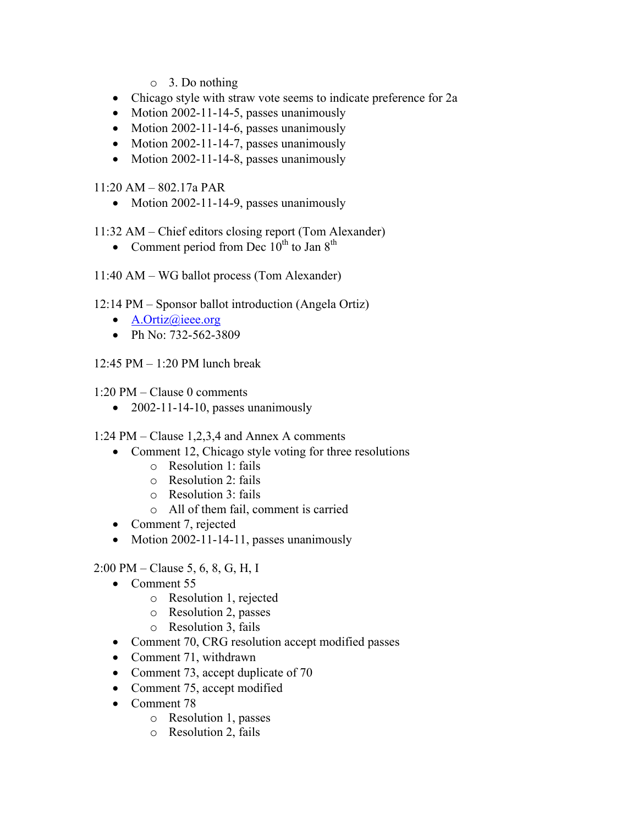- o 3. Do nothing
- Chicago style with straw vote seems to indicate preference for 2a
- Motion 2002-11-14-5, passes unanimously
- Motion 2002-11-14-6, passes unanimously
- Motion 2002-11-14-7, passes unanimously
- Motion 2002-11-14-8, passes unanimously

 $11:20$  AM  $-$  802.17a PAR

• Motion 2002-11-14-9, passes unanimously

11:32 AM – Chief editors closing report (Tom Alexander)

- Comment period from Dec  $10^{th}$  to Jan  $8^{th}$
- $11:40$  AM WG ballot process (Tom Alexander)
- $12:14 \text{ PM}$  Sponsor ballot introduction (Angela Ortiz)
	- A.Ortiz@ieee.org
	- Ph No:  $732 562 3809$
- $12:45$  PM  $-1:20$  PM lunch break
- $1:20 \text{ PM} \text{Clause } 0 \text{ comments}$ 
	- 2002-11-14-10, passes unanimously

1:24 PM – Clause 1,2,3,4 and Annex A comments

- Comment 12, Chicago style voting for three resolutions
	- o Resolution 1: fails
	- o Resolution 2: fails
	- o Resolution 3: fails
	- o All of them fail, comment is carried
- Comment 7, rejected
- Motion 2002-11-14-11, passes unanimously

 $2:00 \text{ PM}-\text{Clause } 5, 6, 8, G, H, I$ 

- Comment 55
	- o Resolution 1, rejected
	- o Resolution 2, passes
	- o Resolution 3, fails
- Comment 70, CRG resolution accept modified passes
- Comment 71, withdrawn
- Comment 73, accept duplicate of 70
- Comment 75, accept modified
- Comment 78
	- o Resolution 1, passes
	- o Resolution 2, fails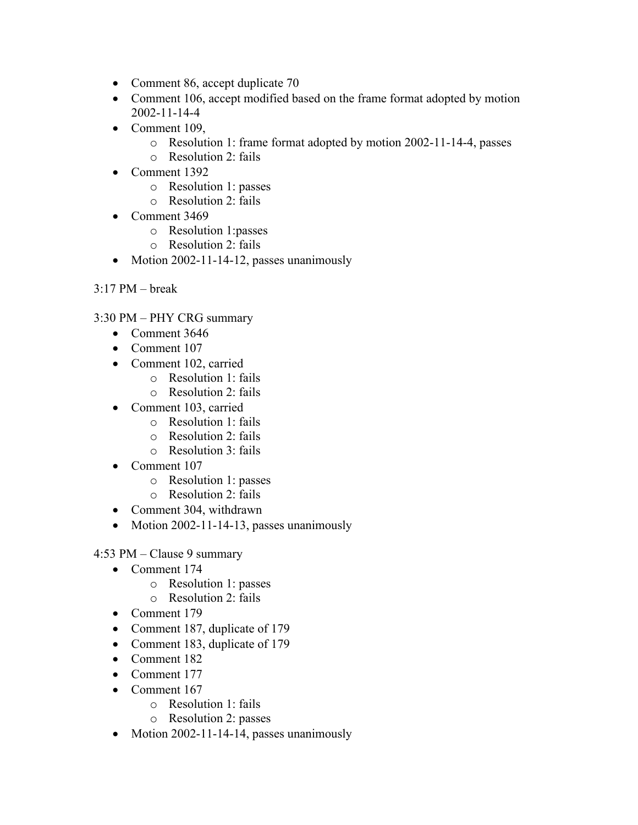- Comment 86, accept duplicate 70
- Comment 106, accept modified based on the frame format adopted by motion 2002-11-14-4
- Comment 109,
	- o Resolution 1: frame format adopted by motion 2002-11-14-4, passes
	- $\circ$  Resolution 2 fails
- Comment 1392
	- o Resolution 1: passes
	- o Resolution 2: fails
- Comment 3469
	- o Resolution 1:passes
	- o Resolution 2: fails
- Motion 2002-11-14-12, passes unanimously
- $3.17$  PM  $-$  break
- 3:30 PM PHY CRG summary
	- Comment 3646
	- Comment 107
	- Comment 102, carried
		- o Resolution 1: fails
		- o Resolution 2: fails
	- Comment 103, carried
		- o Resolution 1: fails
		- o Resolution 2: fails
		- o Resolution 3: fails
	- Comment 107
		- o Resolution 1: passes
		- o Resolution 2: fails
	- Comment 304, withdrawn
	- Motion 2002-11-14-13, passes unanimously

4:53 PM  $-$  Clause 9 summary

- Comment 174
	- o Resolution 1: passes
	- o Resolution 2: fails
- Comment 179
- Comment 187, duplicate of 179
- Comment 183, duplicate of 179
- Comment 182
- Comment 177
- Comment 167
	- o Resolution 1: fails
	- o Resolution 2: passes
- Motion 2002-11-14-14, passes unanimously